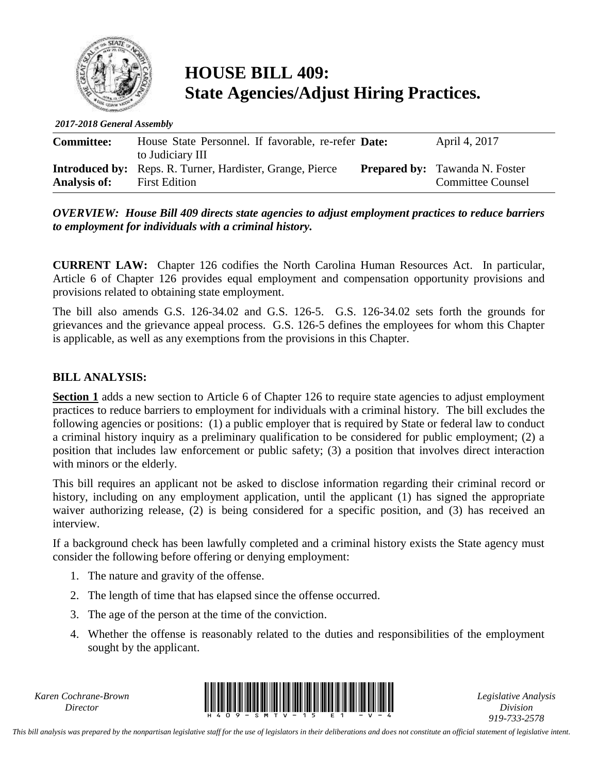

## **HOUSE BILL 409: State Agencies/Adjust Hiring Practices.**

*2017-2018 General Assembly*

| <b>Committee:</b>   | House State Personnel. If favorable, re-refer <b>Date:</b>                                                   | April 4, 2017                                                     |
|---------------------|--------------------------------------------------------------------------------------------------------------|-------------------------------------------------------------------|
| <b>Analysis of:</b> | to Judiciary III<br><b>Introduced by:</b> Reps. R. Turner, Hardister, Grange, Pierce<br><b>First Edition</b> | <b>Prepared by:</b> Tawanda N. Foster<br><b>Committee Counsel</b> |

*OVERVIEW: House Bill 409 directs state agencies to adjust employment practices to reduce barriers to employment for individuals with a criminal history.*

**CURRENT LAW:** Chapter 126 codifies the North Carolina Human Resources Act. In particular, Article 6 of Chapter 126 provides equal employment and compensation opportunity provisions and provisions related to obtaining state employment.

The bill also amends G.S. 126-34.02 and G.S. 126-5. G.S. 126-34.02 sets forth the grounds for grievances and the grievance appeal process. G.S. 126-5 defines the employees for whom this Chapter is applicable, as well as any exemptions from the provisions in this Chapter.

## **BILL ANALYSIS:**

**Section 1** adds a new section to Article 6 of Chapter 126 to require state agencies to adjust employment practices to reduce barriers to employment for individuals with a criminal history. The bill excludes the following agencies or positions: (1) a public employer that is required by State or federal law to conduct a criminal history inquiry as a preliminary qualification to be considered for public employment; (2) a position that includes law enforcement or public safety; (3) a position that involves direct interaction with minors or the elderly.

This bill requires an applicant not be asked to disclose information regarding their criminal record or history, including on any employment application, until the applicant (1) has signed the appropriate waiver authorizing release, (2) is being considered for a specific position, and (3) has received an interview.

If a background check has been lawfully completed and a criminal history exists the State agency must consider the following before offering or denying employment:

- 1. The nature and gravity of the offense.
- 2. The length of time that has elapsed since the offense occurred.
- 3. The age of the person at the time of the conviction.
- 4. Whether the offense is reasonably related to the duties and responsibilities of the employment sought by the applicant.

*Karen Cochrane-Brown*



*Legislative Analysis Division 919-733-2578*

*This bill analysis was prepared by the nonpartisan legislative staff for the use of legislators in their deliberations and does not constitute an official statement of legislative intent.*